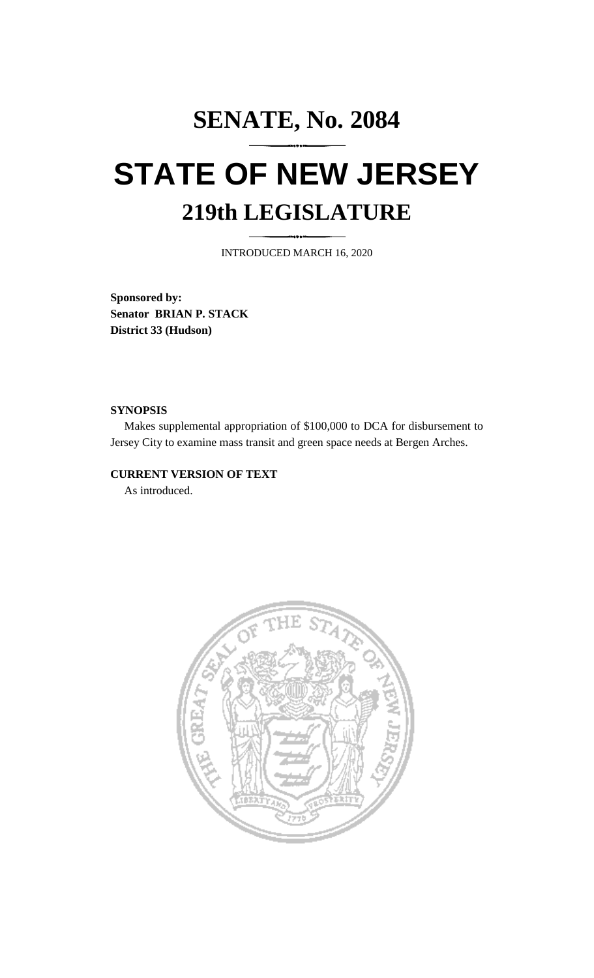# **SENATE, No. 2084 STATE OF NEW JERSEY 219th LEGISLATURE**

INTRODUCED MARCH 16, 2020

**Sponsored by: Senator BRIAN P. STACK District 33 (Hudson)**

### **SYNOPSIS**

Makes supplemental appropriation of \$100,000 to DCA for disbursement to Jersey City to examine mass transit and green space needs at Bergen Arches.

## **CURRENT VERSION OF TEXT**

As introduced.